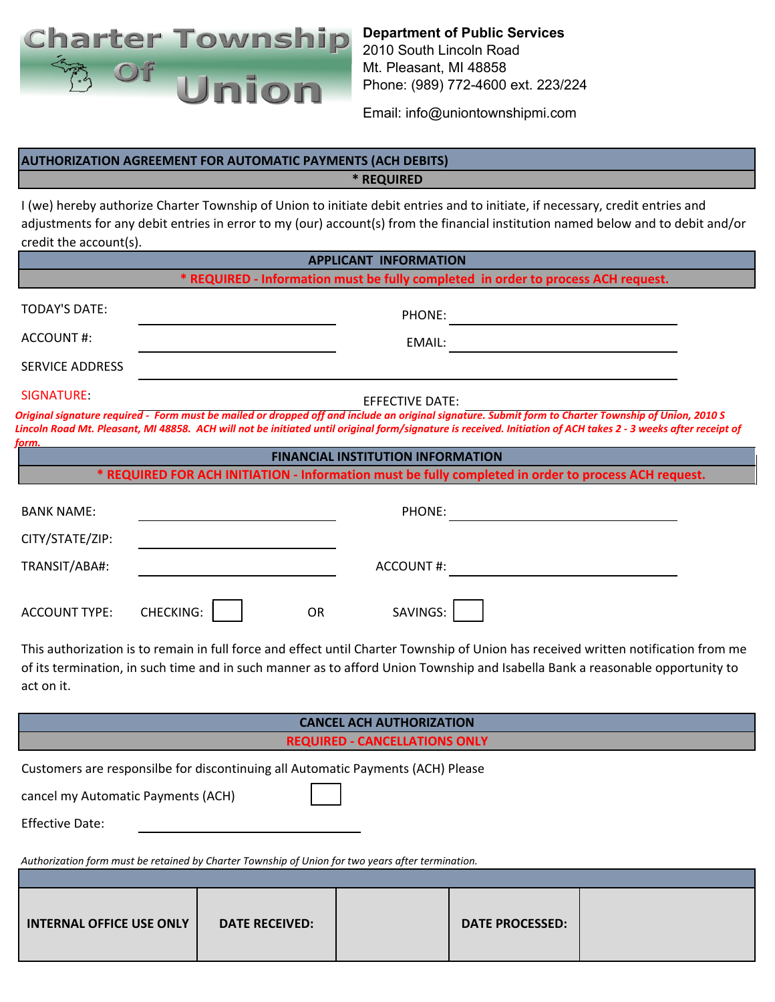

**Department of Public Services** 2010 South Lincoln Road Mt. Pleasant, MI 48858 Phone: (989) 772-4600 ext. 223/224

Email: info@uniontownshipmi.com

## **AUTHORIZATION AGREEMENT FOR AUTOMATIC PAYMENTS (ACH DEBITS)**

**\* REQUIRED**

I (we) hereby authorize Charter Township of Union to initiate debit entries and to initiate, if necessary, credit entries and adjustments for any debit entries in error to my (our) account(s) from the financial institution named below and to debit and/or credit the account(s).

| <b>APPLICANT INFORMATION</b>                                                                                                                                                                                                                                                      |                                                                                                                                                                                                                                                                                                                        |  |
|-----------------------------------------------------------------------------------------------------------------------------------------------------------------------------------------------------------------------------------------------------------------------------------|------------------------------------------------------------------------------------------------------------------------------------------------------------------------------------------------------------------------------------------------------------------------------------------------------------------------|--|
| * REQUIRED - Information must be fully completed in order to process ACH request.                                                                                                                                                                                                 |                                                                                                                                                                                                                                                                                                                        |  |
| <b>TODAY'S DATE:</b>                                                                                                                                                                                                                                                              |                                                                                                                                                                                                                                                                                                                        |  |
| <b>ACCOUNT#:</b>                                                                                                                                                                                                                                                                  | EMAIL:                                                                                                                                                                                                                                                                                                                 |  |
| <b>SERVICE ADDRESS</b>                                                                                                                                                                                                                                                            |                                                                                                                                                                                                                                                                                                                        |  |
| SIGNATURE:                                                                                                                                                                                                                                                                        | <b>EFFECTIVE DATE:</b>                                                                                                                                                                                                                                                                                                 |  |
| form.                                                                                                                                                                                                                                                                             | Original signature required - Form must be mailed or dropped off and include an original signature. Submit form to Charter Township of Union, 2010 S<br>Lincoln Road Mt. Pleasant, MI 48858. ACH will not be initiated until original form/signature is received. Initiation of ACH takes 2 - 3 weeks after receipt of |  |
|                                                                                                                                                                                                                                                                                   | <b>FINANCIAL INSTITUTION INFORMATION</b>                                                                                                                                                                                                                                                                               |  |
| * REQUIRED FOR ACH INITIATION - Information must be fully completed in order to process ACH request.                                                                                                                                                                              |                                                                                                                                                                                                                                                                                                                        |  |
| <b>BANK NAME:</b>                                                                                                                                                                                                                                                                 |                                                                                                                                                                                                                                                                                                                        |  |
| CITY/STATE/ZIP:                                                                                                                                                                                                                                                                   |                                                                                                                                                                                                                                                                                                                        |  |
| TRANSIT/ABA#:                                                                                                                                                                                                                                                                     | ACCOUNT#:                                                                                                                                                                                                                                                                                                              |  |
| <b>CHECKING:</b><br><b>ACCOUNT TYPE:</b>                                                                                                                                                                                                                                          | SAVINGS:<br>OR                                                                                                                                                                                                                                                                                                         |  |
| This authorization is to remain in full force and effect until Charter Township of Union has received written notification from me<br>of its termination, in such time and in such manner as to afford Union Township and Isabella Bank a reasonable opportunity to<br>act on it. |                                                                                                                                                                                                                                                                                                                        |  |
| <b>CANCEL ACH AUTHORIZATION</b>                                                                                                                                                                                                                                                   |                                                                                                                                                                                                                                                                                                                        |  |
| <b>REQUIRED - CANCELLATIONS ONLY</b>                                                                                                                                                                                                                                              |                                                                                                                                                                                                                                                                                                                        |  |
| Customers are responsilbe for discontinuing all Automatic Payments (ACH) Please<br>cancel my Automatic Payments (ACH)<br><b>Effective Date:</b>                                                                                                                                   |                                                                                                                                                                                                                                                                                                                        |  |
| Authorization form must be retained by Charter Township of Union for two years after termination.                                                                                                                                                                                 |                                                                                                                                                                                                                                                                                                                        |  |
|                                                                                                                                                                                                                                                                                   |                                                                                                                                                                                                                                                                                                                        |  |
| <b>INTERNAL OFFICE USE ONLY</b><br><b>DATE RECEIVED:</b>                                                                                                                                                                                                                          | <b>DATE PROCESSED:</b>                                                                                                                                                                                                                                                                                                 |  |